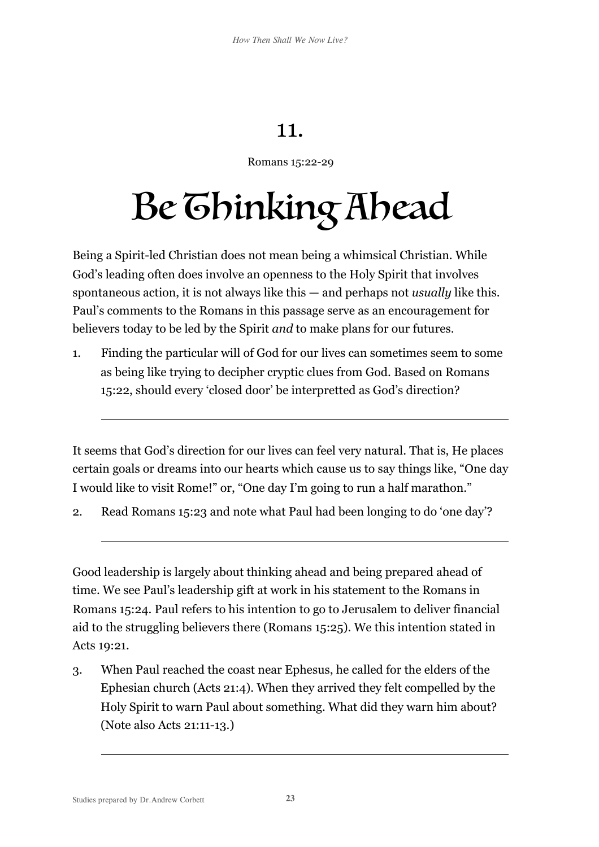## 11.

## Romans 15:22-29

## Be Ghinking Ahead

Being a Spirit-led Christian does not mean being a whimsical Christian. While God's leading often does involve an openness to the Holy Spirit that involves spontaneous action, it is not always like this — and perhaps not *usually* like this. Paul's comments to the Romans in this passage serve as an encouragement for believers today to be led by the Spirit *and* to make plans for our futures.

1. Finding the particular will of God for our lives can sometimes seem to some as being like trying to decipher cryptic clues from God. Based on Romans 15:22, should every 'closed door' be interpretted as God's direction?

It seems that God's direction for our lives can feel very natural. That is, He places certain goals or dreams into our hearts which cause us to say things like, "One day I would like to visit Rome!" or, "One day I'm going to run a half marathon."

2. Read Romans 15:23 and note what Paul had been longing to do 'one day'?

Good leadership is largely about thinking ahead and being prepared ahead of time. We see Paul's leadership gift at work in his statement to the Romans in Romans 15:24. Paul refers to his intention to go to Jerusalem to deliver financial aid to the struggling believers there (Romans 15:25). We this intention stated in Acts 19:21.

3. When Paul reached the coast near Ephesus, he called for the elders of the Ephesian church (Acts 21:4). When they arrived they felt compelled by the Holy Spirit to warn Paul about something. What did they warn him about? (Note also Acts 21:11-13.)

 $\overline{a}$ 

 $\overline{a}$ 

 $\overline{a}$